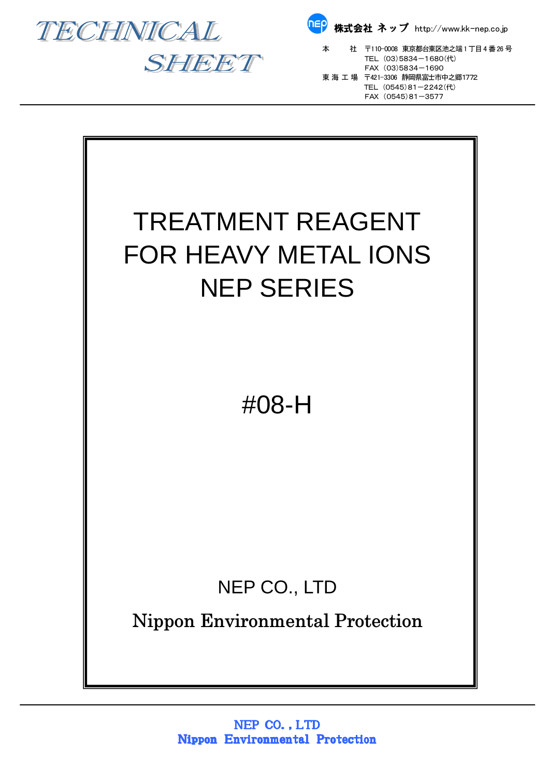





本 社 〒110-0008 東京都台東区池之端1 丁目4 番26 号  $SHET$  TEL (03)5834-1680(代)  $FAX (03)5834 - 1690$  東 海 工 場 〒421-3306 静岡県富士市中之郷1772 TEL (0545)81-2242(代) FAX (0545)81-3577

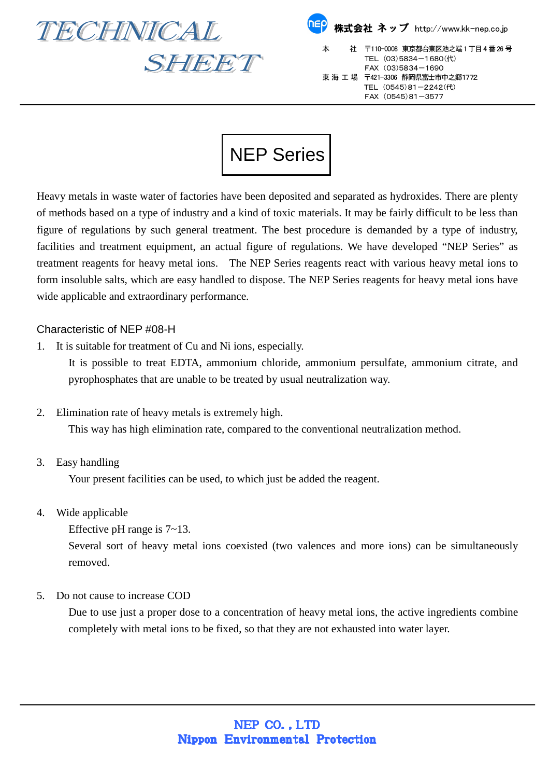

SHEET

| <mark>『『</mark> 》株式会社 ネップ http://www.kk-nep.co.jp |                                                                                                               |
|---------------------------------------------------|---------------------------------------------------------------------------------------------------------------|
| 本                                                 | 社 〒110-0008 東京都台東区池之端1丁目4番26号<br>TEL (03)5834-1680(代)<br>FAX (03)5834-1690<br>東 海 工 場 〒421-3306 静岡県富士市中之郷1772 |
|                                                   | TEL (0545)81-2242(代)<br>FAX (0545)81-3577                                                                     |

## NEP Series

Heavy metals in waste water of factories have been deposited and separated as hydroxides. There are plenty of methods based on a type of industry and a kind of toxic materials. It may be fairly difficult to be less than figure of regulations by such general treatment. The best procedure is demanded by a type of industry, facilities and treatment equipment, an actual figure of regulations. We have developed "NEP Series" as treatment reagents for heavy metal ions. The NEP Series reagents react with various heavy metal ions to form insoluble salts, which are easy handled to dispose. The NEP Series reagents for heavy metal ions have wide applicable and extraordinary performance.

## Characteristic of NEP #08-H

1. It is suitable for treatment of Cu and Ni ions, especially.

It is possible to treat EDTA, ammonium chloride, ammonium persulfate, ammonium citrate, and pyrophosphates that are unable to be treated by usual neutralization way.

2. Elimination rate of heavy metals is extremely high.

This way has high elimination rate, compared to the conventional neutralization method.

3. Easy handling

Your present facilities can be used, to which just be added the reagent.

- 4. Wide applicable
	- Effective pH range is 7~13.

Several sort of heavy metal ions coexisted (two valences and more ions) can be simultaneously removed.

5. Do not cause to increase COD

Due to use just a proper dose to a concentration of heavy metal ions, the active ingredients combine completely with metal ions to be fixed, so that they are not exhausted into water layer.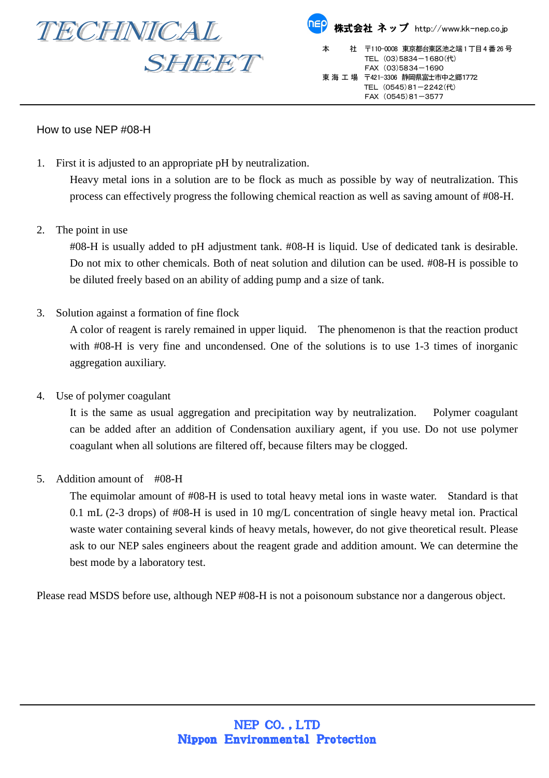

## How to use NEP #08-H

1. First it is adjusted to an appropriate pH by neutralization.

Heavy metal ions in a solution are to be flock as much as possible by way of neutralization. This process can effectively progress the following chemical reaction as well as saving amount of #08-H.

2. The point in use

#08-H is usually added to pH adjustment tank. #08-H is liquid. Use of dedicated tank is desirable. Do not mix to other chemicals. Both of neat solution and dilution can be used. #08-H is possible to be diluted freely based on an ability of adding pump and a size of tank.

3. Solution against a formation of fine flock

A color of reagent is rarely remained in upper liquid. The phenomenon is that the reaction product with  $\text{\#08-H}$  is very fine and uncondensed. One of the solutions is to use 1-3 times of inorganic aggregation auxiliary.

4. Use of polymer coagulant

It is the same as usual aggregation and precipitation way by neutralization. Polymer coagulant can be added after an addition of Condensation auxiliary agent, if you use. Do not use polymer coagulant when all solutions are filtered off, because filters may be clogged.

5. Addition amount of #08-H

The equimolar amount of #08-H is used to total heavy metal ions in waste water. Standard is that 0.1 mL (2-3 drops) of #08-H is used in 10 mg/L concentration of single heavy metal ion. Practical waste water containing several kinds of heavy metals, however, do not give theoretical result. Please ask to our NEP sales engineers about the reagent grade and addition amount. We can determine the best mode by a laboratory test.

Please read MSDS before use, although NEP #08-H is not a poisonoum substance nor a dangerous object.